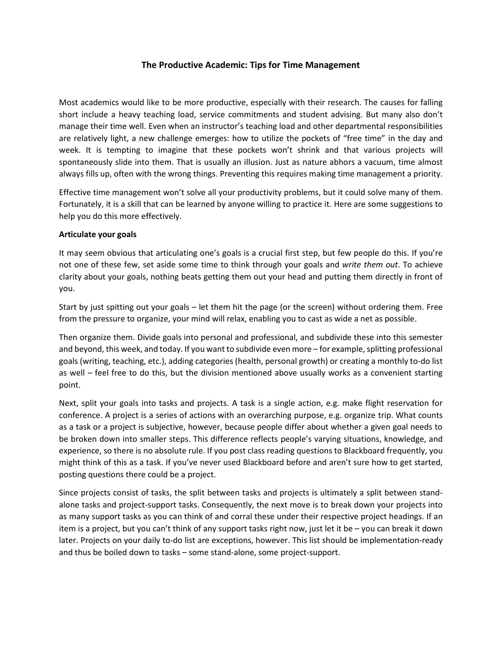# **The Productive Academic: Tips for Time Management**

Most academics would like to be more productive, especially with their research. The causes for falling short include a heavy teaching load, service commitments and student advising. But many also don't manage their time well. Even when an instructor's teaching load and other departmental responsibilities are relatively light, a new challenge emerges: how to utilize the pockets of "free time" in the day and week. It is tempting to imagine that these pockets won't shrink and that various projects will spontaneously slide into them. That is usually an illusion. Just as nature abhors a vacuum, time almost always fills up, often with the wrong things. Preventing this requires making time management a priority.

Effective time management won't solve all your productivity problems, but it could solve many of them. Fortunately, it is a skill that can be learned by anyone willing to practice it. Here are some suggestions to help you do this more effectively.

#### **Articulate your goals**

It may seem obvious that articulating one's goals is a crucial first step, but few people do this. If you're not one of these few, set aside some time to think through your goals and *write them out*. To achieve clarity about your goals, nothing beats getting them out your head and putting them directly in front of you.

Start by just spitting out your goals – let them hit the page (or the screen) without ordering them. Free from the pressure to organize, your mind will relax, enabling you to cast as wide a net as possible.

Then organize them. Divide goals into personal and professional, and subdivide these into this semester and beyond, this week, and today. If you want to subdivide even more – for example, splitting professional goals (writing, teaching, etc.), adding categories (health, personal growth) or creating a monthly to-do list as well – feel free to do this, but the division mentioned above usually works as a convenient starting point.

Next, split your goals into tasks and projects. A task is a single action, e.g. make flight reservation for conference. A project is a series of actions with an overarching purpose, e.g. organize trip. What counts as a task or a project is subjective, however, because people differ about whether a given goal needs to be broken down into smaller steps. This difference reflects people's varying situations, knowledge, and experience, so there is no absolute rule. If you post class reading questions to Blackboard frequently, you might think of this as a task. If you've never used Blackboard before and aren't sure how to get started, posting questions there could be a project.

Since projects consist of tasks, the split between tasks and projects is ultimately a split between standalone tasks and project-support tasks. Consequently, the next move is to break down your projects into as many support tasks as you can think of and corral these under their respective project headings. If an item is a project, but you can't think of any support tasks right now, just let it be – you can break it down later. Projects on your daily to-do list are exceptions, however. This list should be implementation-ready and thus be boiled down to tasks – some stand-alone, some project-support.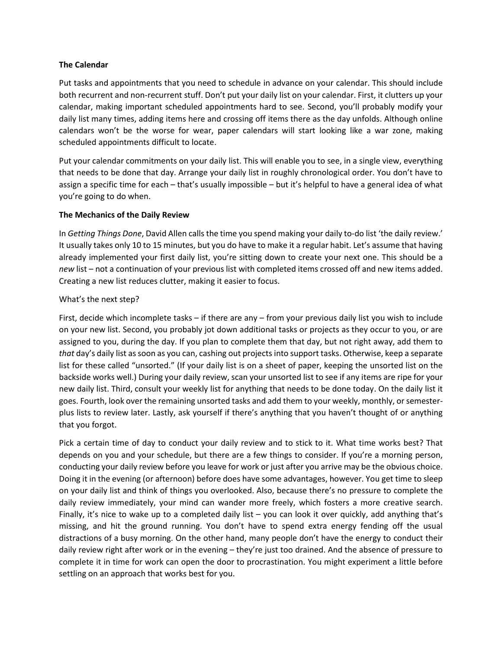### **The Calendar**

Put tasks and appointments that you need to schedule in advance on your calendar. This should include both recurrent and non-recurrent stuff. Don't put your daily list on your calendar. First, it clutters up your calendar, making important scheduled appointments hard to see. Second, you'll probably modify your daily list many times, adding items here and crossing off items there as the day unfolds. Although online calendars won't be the worse for wear, paper calendars will start looking like a war zone, making scheduled appointments difficult to locate.

Put your calendar commitments on your daily list. This will enable you to see, in a single view, everything that needs to be done that day. Arrange your daily list in roughly chronological order. You don't have to assign a specific time for each – that's usually impossible – but it's helpful to have a general idea of what you're going to do when.

#### **The Mechanics of the Daily Review**

In *Getting Things Done*, David Allen calls the time you spend making your daily to-do list 'the daily review.' It usually takes only 10 to 15 minutes, but you do have to make it a regular habit. Let's assume that having already implemented your first daily list, you're sitting down to create your next one. This should be a *new* list – not a continuation of your previous list with completed items crossed off and new items added. Creating a new list reduces clutter, making it easier to focus.

### What's the next step?

First, decide which incomplete tasks – if there are any – from your previous daily list you wish to include on your new list. Second, you probably jot down additional tasks or projects as they occur to you, or are assigned to you, during the day. If you plan to complete them that day, but not right away, add them to *that* day's daily list as soon as you can, cashing out projects into support tasks. Otherwise, keep a separate list for these called "unsorted." (If your daily list is on a sheet of paper, keeping the unsorted list on the backside works well.) During your daily review, scan your unsorted list to see if any items are ripe for your new daily list. Third, consult your weekly list for anything that needs to be done today. On the daily list it goes. Fourth, look over the remaining unsorted tasks and add them to your weekly, monthly, orsemesterplus lists to review later. Lastly, ask yourself if there's anything that you haven't thought of or anything that you forgot.

Pick a certain time of day to conduct your daily review and to stick to it. What time works best? That depends on you and your schedule, but there are a few things to consider. If you're a morning person, conducting your daily review before you leave for work or just after you arrive may be the obvious choice. Doing it in the evening (or afternoon) before does have some advantages, however. You get time to sleep on your daily list and think of things you overlooked. Also, because there's no pressure to complete the daily review immediately, your mind can wander more freely, which fosters a more creative search. Finally, it's nice to wake up to a completed daily list – you can look it over quickly, add anything that's missing, and hit the ground running. You don't have to spend extra energy fending off the usual distractions of a busy morning. On the other hand, many people don't have the energy to conduct their daily review right after work or in the evening – they're just too drained. And the absence of pressure to complete it in time for work can open the door to procrastination. You might experiment a little before settling on an approach that works best for you.